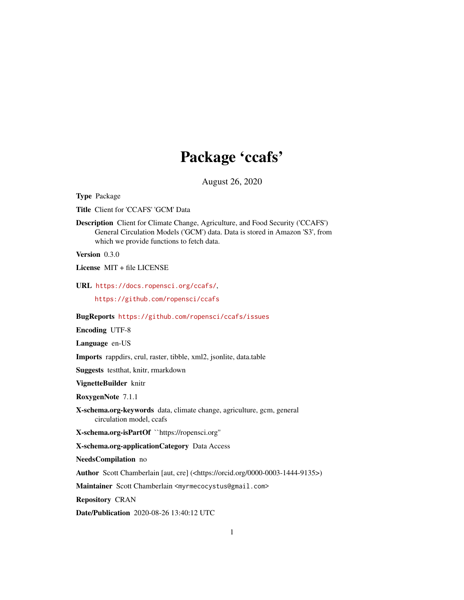# Package 'ccafs'

August 26, 2020

<span id="page-0-0"></span>Type Package

Title Client for 'CCAFS' 'GCM' Data

Description Client for Climate Change, Agriculture, and Food Security ('CCAFS') General Circulation Models ('GCM') data. Data is stored in Amazon 'S3', from which we provide functions to fetch data.

Version 0.3.0

License MIT + file LICENSE

URL <https://docs.ropensci.org/ccafs/>,

<https://github.com/ropensci/ccafs>

#### BugReports <https://github.com/ropensci/ccafs/issues>

Encoding UTF-8

Language en-US

Imports rappdirs, crul, raster, tibble, xml2, jsonlite, data.table

Suggests testthat, knitr, rmarkdown

VignetteBuilder knitr

RoxygenNote 7.1.1

X-schema.org-keywords data, climate change, agriculture, gcm, general circulation model, ccafs

X-schema.org-isPartOf ``https://ropensci.org''

X-schema.org-applicationCategory Data Access

NeedsCompilation no

Author Scott Chamberlain [aut, cre] (<https://orcid.org/0000-0003-1444-9135>)

Maintainer Scott Chamberlain <myrmecocystus@gmail.com>

Repository CRAN

Date/Publication 2020-08-26 13:40:12 UTC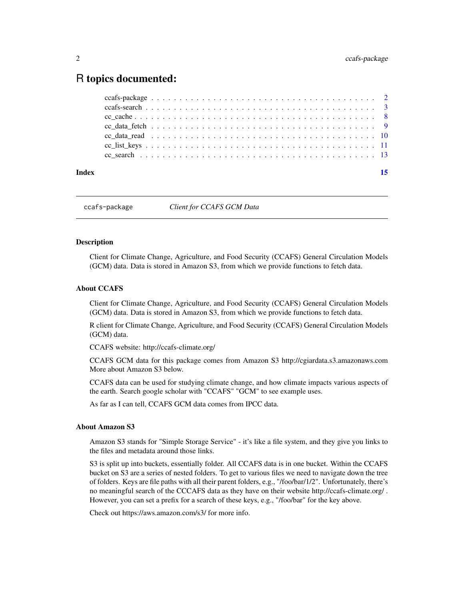# <span id="page-1-0"></span>R topics documented:

| Index |  |
|-------|--|
|       |  |
|       |  |
|       |  |
|       |  |
|       |  |
|       |  |
|       |  |

ccafs-package *Client for CCAFS GCM Data*

#### Description

Client for Climate Change, Agriculture, and Food Security (CCAFS) General Circulation Models (GCM) data. Data is stored in Amazon S3, from which we provide functions to fetch data.

# About CCAFS

Client for Climate Change, Agriculture, and Food Security (CCAFS) General Circulation Models (GCM) data. Data is stored in Amazon S3, from which we provide functions to fetch data.

R client for Climate Change, Agriculture, and Food Security (CCAFS) General Circulation Models (GCM) data.

CCAFS website: http://ccafs-climate.org/

CCAFS GCM data for this package comes from Amazon S3 http://cgiardata.s3.amazonaws.com More about Amazon S3 below.

CCAFS data can be used for studying climate change, and how climate impacts various aspects of the earth. Search google scholar with "CCAFS" "GCM" to see example uses.

As far as I can tell, CCAFS GCM data comes from IPCC data.

#### About Amazon S3

Amazon S3 stands for "Simple Storage Service" - it's like a file system, and they give you links to the files and metadata around those links.

S3 is split up into buckets, essentially folder. All CCAFS data is in one bucket. Within the CCAFS bucket on S3 are a series of nested folders. To get to various files we need to navigate down the tree of folders. Keys are file paths with all their parent folders, e.g., "/foo/bar/1/2". Unfortunately, there's no meaningful search of the CCCAFS data as they have on their website http://ccafs-climate.org/ . However, you can set a prefix for a search of these keys, e.g., "/foo/bar" for the key above.

Check out https://aws.amazon.com/s3/ for more info.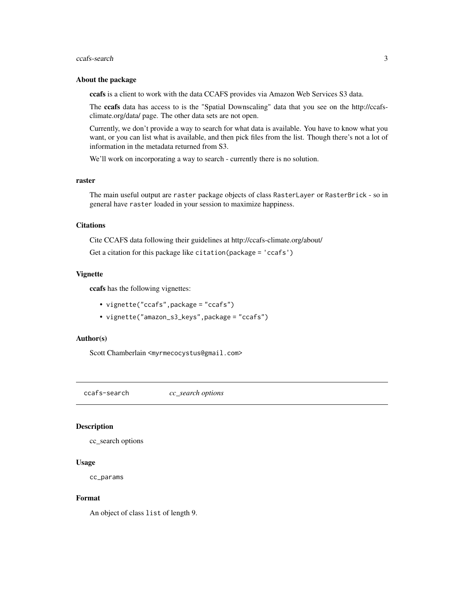#### <span id="page-2-0"></span>About the package

ccafs is a client to work with the data CCAFS provides via Amazon Web Services S3 data.

The ccafs data has access to is the "Spatial Downscaling" data that you see on the http://ccafsclimate.org/data/ page. The other data sets are not open.

Currently, we don't provide a way to search for what data is available. You have to know what you want, or you can list what is available, and then pick files from the list. Though there's not a lot of information in the metadata returned from S3.

We'll work on incorporating a way to search - currently there is no solution.

#### raster

The main useful output are raster package objects of class RasterLayer or RasterBrick - so in general have raster loaded in your session to maximize happiness.

#### **Citations**

Cite CCAFS data following their guidelines at http://ccafs-climate.org/about/

Get a citation for this package like citation(package = 'ccafs')

#### Vignette

ccafs has the following vignettes:

- vignette("ccafs",package = "ccafs")
- vignette("amazon\_s3\_keys",package = "ccafs")

#### Author(s)

Scott Chamberlain <myrmecocystus@gmail.com>

<span id="page-2-1"></span>ccafs-search *cc\_search options*

#### Description

cc\_search options

#### Usage

cc\_params

#### Format

An object of class list of length 9.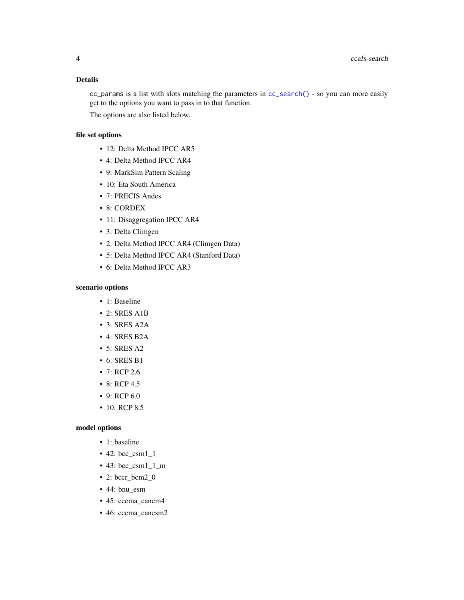# <span id="page-3-0"></span>Details

cc\_params is a list with slots matching the parameters in [cc\\_search\(\)](#page-12-1) - so you can more easily get to the options you want to pass in to that function.

The options are also listed below.

# file set options

- 12: Delta Method IPCC AR5
- 4: Delta Method IPCC AR4
- 9: MarkSim Pattern Scaling
- 10: Eta South America
- 7: PRECIS Andes
- 8: CORDEX
- 11: Disaggregation IPCC AR4
- 3: Delta Climgen
- 2: Delta Method IPCC AR4 (Climgen Data)
- 5: Delta Method IPCC AR4 (Stanford Data)
- 6: Delta Method IPCC AR3

# scenario options

- 1: Baseline
- 2: SRES A1B
- 3: SRES A2A
- 4: SRES B2A
- 5: SRES A2
- 6: SRES B1
- 7: RCP 2.6
- 8: RCP 4.5
- 9: RCP 6.0
- 10: RCP 8.5

#### model options

- 1: baseline
- 42: bcc\_csm1\_1
- 43:  $bcc\_csm1\_1\_m$
- 2: bccr\_bcm2\_0
- 44: bnu\_esm
- 45: cccma\_cancm4
- 46: cccma\_canesm2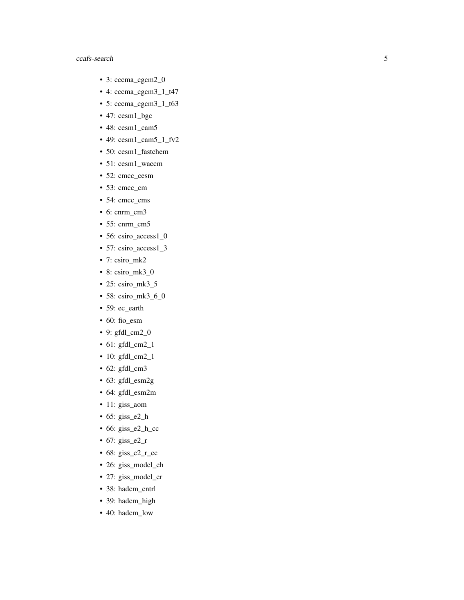- 3: cccma\_cgcm2\_0
- 4: cccma\_cgcm3\_1\_t47
- 5: cccma\_cgcm3\_1\_t63
- 47: cesm1\_bgc
- 48: cesm1\_cam5
- 49: cesm1\_cam5\_1\_fv2
- 50: cesm1\_fastchem
- 51: cesm1\_waccm
- 52: cmcc\_cesm
- 53: cmcc\_cm
- 54: cmcc\_cms
- 6: cnrm\_cm3
- 55: cnrm\_cm5
- 56: csiro\_access1\_0
- 57: csiro\_access1\_3
- 7: csiro\_mk2
- 8: csiro\_mk3\_0
- 25: csiro\_mk3\_5
- 58: csiro\_mk3\_6\_0
- 59: ec\_earth
- 60: fio\_esm
- 9: gfdl\_cm2\_0
- 61: gfdl\_cm2\_1
- 10: gfdl\_cm2\_1
- 62: gfdl\_cm3
- 63: gfdl\_esm2g
- 64: gfdl\_esm2m
- 11: giss\_aom
- 65: giss\_e2\_h
- 66: giss\_e2\_h\_cc
- 67: giss\_e2\_r
- 68: giss\_e2\_r\_cc
- 26: giss\_model\_eh
- 27: giss\_model\_er
- 38: hadcm\_cntrl
- 39: hadcm\_high
- 40: hadcm\_low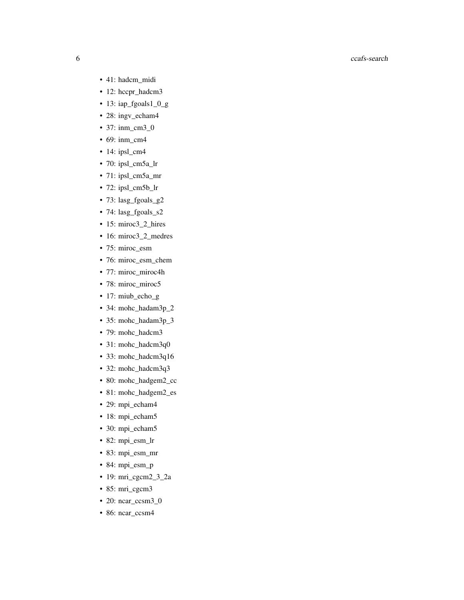- 41: hadcm\_midi
- 12: hccpr\_hadcm3
- 13: iap\_fgoals1\_0\_g
- 28: ingv\_echam4
- 37: inm\_cm3\_0
- 69: inm\_cm4
- 14: ipsl\_cm4
- 70: ipsl\_cm5a\_lr
- 71: ipsl\_cm5a\_mr
- 72: ipsl\_cm5b\_lr
- 73: lasg\_fgoals\_g2
- 74: lasg\_fgoals\_s2
- 15: miroc3\_2\_hires
- 16: miroc3\_2\_medres
- 75: miroc\_esm
- 76: miroc\_esm\_chem
- 77: miroc\_miroc4h
- 78: miroc\_miroc5
- 17: miub\_echo\_g
- 34: mohc\_hadam3p\_2
- 35: mohc\_hadam3p\_3
- 79: mohc\_hadcm3
- 31: mohc\_hadcm3q0
- 33: mohc\_hadcm3q16
- 32: mohc\_hadcm3q3
- 80: mohc\_hadgem2\_cc
- 81: mohc\_hadgem2\_es
- 29: mpi\_echam4
- 18: mpi\_echam5
- 30: mpi\_echam5
- 82: mpi\_esm\_lr
- 83: mpi\_esm\_mr
- 84: mpi\_esm\_p
- 19: mri\_cgcm2\_3\_2a
- 85: mri\_cgcm3
- 20: ncar\_ccsm3\_0
- 86: ncar\_ccsm4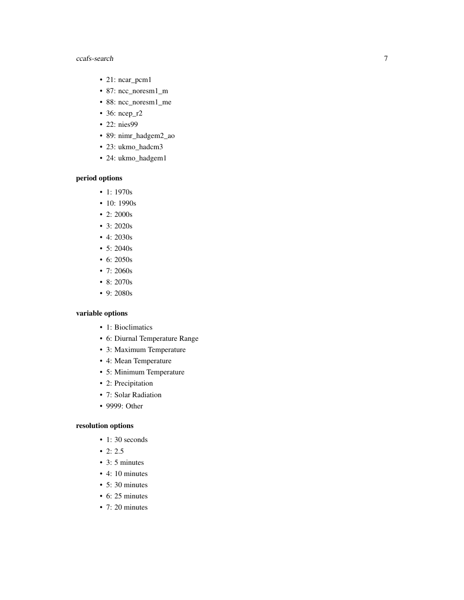- 21: ncar\_pcm1
- 87: ncc\_noresm1\_m
- 88: ncc\_noresm1\_me
- 36: ncep\_r2
- 22: nies99
- 89: nimr\_hadgem2\_ao
- 23: ukmo\_hadcm3
- 24: ukmo\_hadgem1

# period options

- 1: 1970s
- 10: 1990s
- 2: 2000s
- 3: 2020s
- 4: 2030s
- 5: 2040s
- 6: 2050s
- 7: 2060s
- 8: 2070s
- 9: 2080s

# variable options

- 1: Bioclimatics
- 6: Diurnal Temperature Range
- 3: Maximum Temperature
- 4: Mean Temperature
- 5: Minimum Temperature
- 2: Precipitation
- 7: Solar Radiation
- 9999: Other

#### resolution options

- 1:30 seconds
- $\bullet$  2: 2.5
- 3: 5 minutes
- 4: 10 minutes
- 5: 30 minutes
- 6: 25 minutes
- 7: 20 minutes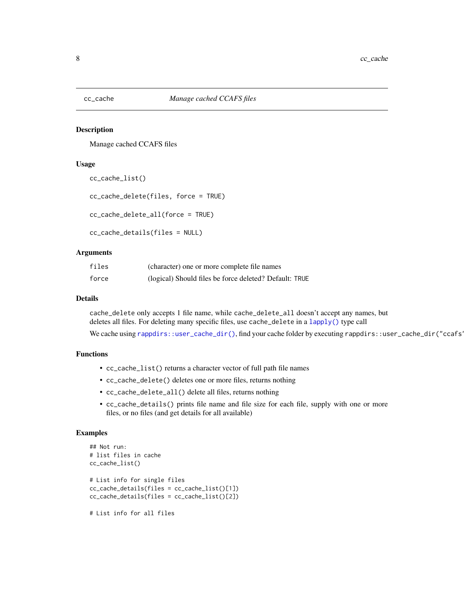<span id="page-7-0"></span>

#### Description

Manage cached CCAFS files

#### Usage

```
cc_cache_list()
```

```
cc_cache_delete(files, force = TRUE)
```
cc\_cache\_delete\_all(force = TRUE)

```
cc_cache_details(files = NULL)
```
### Arguments

| files | (character) one or more complete file names            |
|-------|--------------------------------------------------------|
| force | (logical) Should files be force deleted? Default: TRUE |

#### Details

cache\_delete only accepts 1 file name, while cache\_delete\_all doesn't accept any names, but deletes all files. For deleting many specific files, use cache\_delete in a [lapply\(\)](#page-0-0) type call

We cache using [rappdirs::user\\_cache\\_dir\(\)](#page-0-0), find your cache folder by executing rappdirs::user\_cache\_dir("ccafs"

# Functions

- cc\_cache\_list() returns a character vector of full path file names
- cc\_cache\_delete() deletes one or more files, returns nothing
- cc\_cache\_delete\_all() delete all files, returns nothing
- cc\_cache\_details() prints file name and file size for each file, supply with one or more files, or no files (and get details for all available)

#### Examples

```
## Not run:
# list files in cache
cc_cache_list()
# List info for single files
cc_cache_details(files = cc_cache_list()[1])
cc_cache_details(files = cc_cache_list()[2])
# List info for all files
```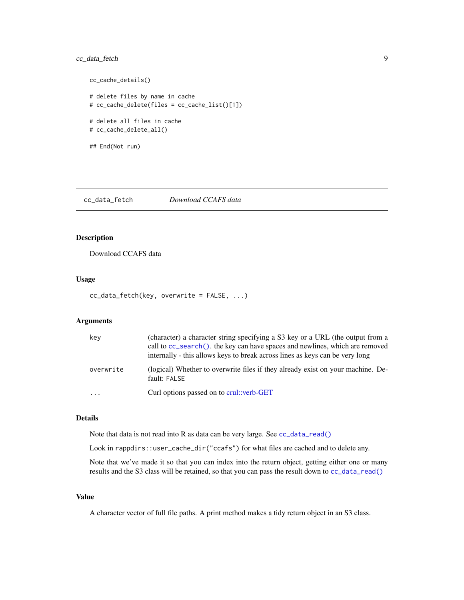# <span id="page-8-0"></span>cc\_data\_fetch 9

```
cc_cache_details()
# delete files by name in cache
# cc_cache_delete(files = cc_cache_list()[1])
# delete all files in cache
# cc_cache_delete_all()
## End(Not run)
```
<span id="page-8-1"></span>cc\_data\_fetch *Download CCAFS data*

# Description

Download CCAFS data

# Usage

```
cc_data_fetch(key, overwrite = FALSE, ...)
```
# Arguments

| key       | (character) a character string specifying a S3 key or a URL (the output from a<br>call to cc_search(). the key can have spaces and newlines, which are removed<br>internally - this allows keys to break across lines as keys can be very long |
|-----------|------------------------------------------------------------------------------------------------------------------------------------------------------------------------------------------------------------------------------------------------|
| overwrite | (logical) Whether to overwrite files if they already exist on your machine. De-<br>fault: FALSE                                                                                                                                                |
| $\ddotsc$ | Curl options passed on to crul::verb-GET                                                                                                                                                                                                       |

# Details

Note that data is not read into R as data can be very large. See [cc\\_data\\_read\(\)](#page-9-1)

Look in rappdirs::user\_cache\_dir("ccafs") for what files are cached and to delete any.

Note that we've made it so that you can index into the return object, getting either one or many results and the S3 class will be retained, so that you can pass the result down to [cc\\_data\\_read\(\)](#page-9-1)

### Value

A character vector of full file paths. A print method makes a tidy return object in an S3 class.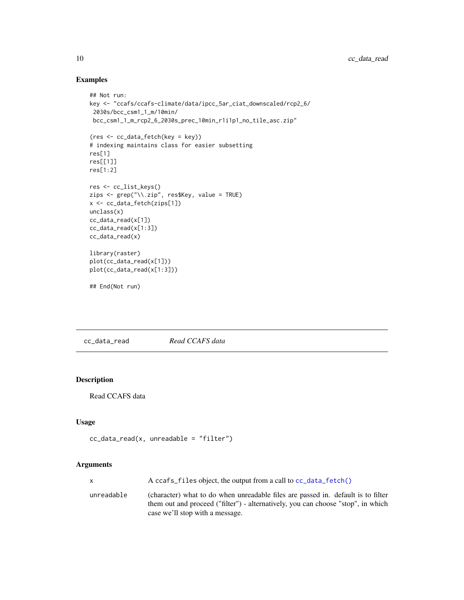# Examples

```
## Not run:
key <- "ccafs/ccafs-climate/data/ipcc_5ar_ciat_downscaled/rcp2_6/
 2030s/bcc_csm1_1_m/10min/
 bcc_csm1_1_m_rcp2_6_2030s_prec_10min_r1i1p1_no_tile_asc.zip"
(res <- cc_data_fetch(key = key))
# indexing maintains class for easier subsetting
res[1]
res[[1]]
res[1:2]
res <- cc_list_keys()
zips <- grep("\\.zip", res$Key, value = TRUE)
x <- cc_data_fetch(zips[1])
unclass(x)
cc_data_read(x[1])
cc_data_read(x[1:3])
cc_data_read(x)
library(raster)
plot(cc_data_read(x[1]))
plot(cc_data_read(x[1:3]))
## End(Not run)
```
<span id="page-9-1"></span>cc\_data\_read *Read CCAFS data*

# Description

Read CCAFS data

# Usage

```
cc\_data\_read(x, unreadable = "filter")
```
# Arguments

|            | A ccafs_files object, the output from a call to cc_data_fetch()                                                                                                                                         |
|------------|---------------------------------------------------------------------------------------------------------------------------------------------------------------------------------------------------------|
| unreadable | (character) what to do when unreadable files are passed in. default is to filter<br>them out and proceed ("filter") - alternatively, you can choose "stop", in which<br>case we'll stop with a message. |

<span id="page-9-0"></span>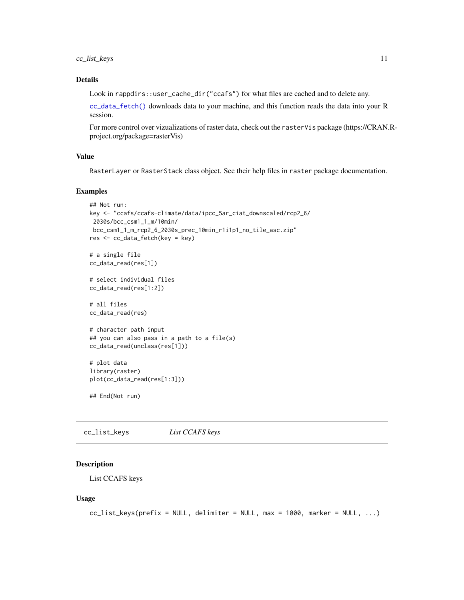# <span id="page-10-0"></span>cc\_list\_keys 11

## Details

Look in rappdirs::user\_cache\_dir("ccafs") for what files are cached and to delete any.

[cc\\_data\\_fetch\(\)](#page-8-1) downloads data to your machine, and this function reads the data into your R session.

For more control over vizualizations of raster data, check out the rasterVis package (https://CRAN.Rproject.org/package=rasterVis)

#### Value

RasterLayer or RasterStack class object. See their help files in raster package documentation.

#### Examples

```
## Not run:
key <- "ccafs/ccafs-climate/data/ipcc_5ar_ciat_downscaled/rcp2_6/
2030s/bcc_csm1_1_m/10min/
bcc_csm1_1_m_rcp2_6_2030s_prec_10min_r1i1p1_no_tile_asc.zip"
res <- cc_data_fetch(key = key)
# a single file
cc_data_read(res[1])
# select individual files
cc_data_read(res[1:2])
# all files
```
cc\_data\_read(res)

```
# character path input
## you can also pass in a path to a file(s)
cc_data_read(unclass(res[1]))
```

```
# plot data
library(raster)
plot(cc_data_read(res[1:3]))
```
## End(Not run)

cc\_list\_keys *List CCAFS keys*

#### Description

List CCAFS keys

#### Usage

```
cc\_list\_keys(prefix = NULL, delimiter = NULL, max = 1000, marker = NULL, ...)
```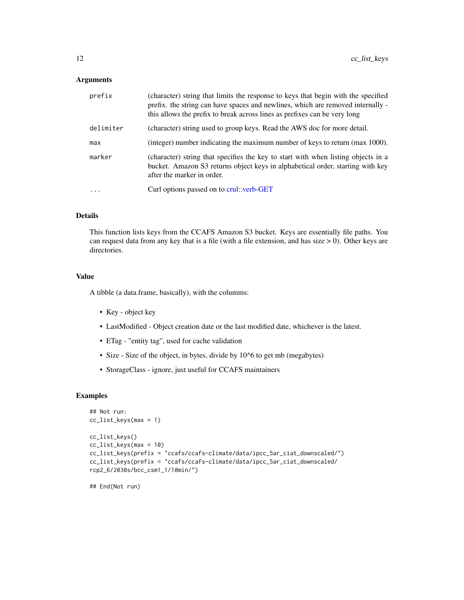#### <span id="page-11-0"></span>Arguments

| prefix    | (character) string that limits the response to keys that begin with the specified<br>prefix. the string can have spaces and newlines, which are removed internally -<br>this allows the prefix to break across lines as prefixes can be very long |
|-----------|---------------------------------------------------------------------------------------------------------------------------------------------------------------------------------------------------------------------------------------------------|
| delimiter | (character) string used to group keys. Read the AWS doc for more detail.                                                                                                                                                                          |
| max       | (integer) number indicating the maximum number of keys to return (max 1000).                                                                                                                                                                      |
| marker    | (character) string that specifies the key to start with when listing objects in a<br>bucket. Amazon S3 returns object keys in alphabetical order, starting with key<br>after the marker in order.                                                 |
| $\ddotsc$ | Curl options passed on to crul: verb-GET                                                                                                                                                                                                          |

# Details

This function lists keys from the CCAFS Amazon S3 bucket. Keys are essentially file paths. You can request data from any key that is a file (with a file extension, and has size  $> 0$ ). Other keys are directories.

#### Value

A tibble (a data.frame, basically), with the columms:

- Key object key
- LastModified Object creation date or the last modified date, whichever is the latest.
- ETag "entity tag", used for cache validation
- Size Size of the object, in bytes, divide by 10^6 to get mb (megabytes)
- StorageClass ignore, just useful for CCAFS maintainers

# Examples

```
## Not run:
cc_list_keys(max = 1)
cc_list_keys()
cc_list_keys(max = 10)
cc_list_keys(prefix = "ccafs/ccafs-climate/data/ipcc_5ar_ciat_downscaled/")
cc_list_keys(prefix = "ccafs/ccafs-climate/data/ipcc_5ar_ciat_downscaled/
rcp2_6/2030s/bcc_csm1_1/10min/")
```
## End(Not run)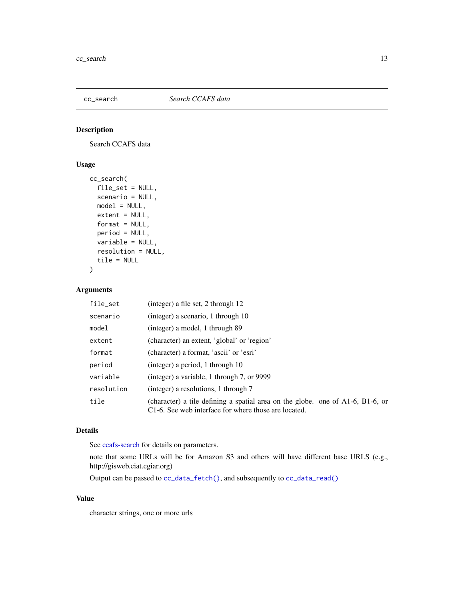<span id="page-12-1"></span><span id="page-12-0"></span>

# Description

Search CCAFS data

# Usage

```
cc_search(
  file_set = NULL,
 scenario = NULL,
 model = NULL,extent = NULL,format = NULL,period = NULL,
 variable = NULL,
 resolution = NULL,
  tile = NULL
)
```
#### Arguments

| file_set   | (integer) a file set, 2 through 12                                                                                                           |
|------------|----------------------------------------------------------------------------------------------------------------------------------------------|
| scenario   | (integer) a scenario, 1 through 10                                                                                                           |
| model      | (integer) a model, 1 through 89                                                                                                              |
| extent     | (character) an extent, 'global' or 'region'                                                                                                  |
| format     | (character) a format, 'ascii' or 'esri'                                                                                                      |
| period     | (integer) a period, 1 through $10$                                                                                                           |
| variable   | (integer) a variable, 1 through 7, or 9999                                                                                                   |
| resolution | (integer) a resolutions, 1 through 7                                                                                                         |
| tile       | (character) a tile defining a spatial area on the globe. one of $A1-6$ , $B1-6$ , or<br>C1-6. See web interface for where those are located. |

# Details

See [ccafs-search](#page-2-1) for details on parameters.

note that some URLs will be for Amazon S3 and others will have different base URLS (e.g., http://gisweb.ciat.cgiar.org)

Output can be passed to [cc\\_data\\_fetch\(\)](#page-8-1), and subsequently to [cc\\_data\\_read\(\)](#page-9-1)

# Value

character strings, one or more urls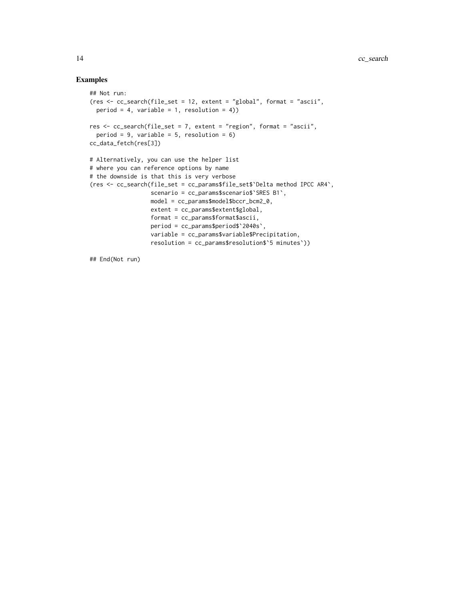# Examples

```
## Not run:
(res <- cc_search(file_set = 12, extent = "global", format = "ascii",
  period = 4, variable = 1, resolution = 4))
res \leq cc_search(file_set = 7, extent = "region", format = "ascii",
  period = 9, variable = 5, resolution = 6)
cc_data_fetch(res[3])
# Alternatively, you can use the helper list
# where you can reference options by name
# the downside is that this is very verbose
(res <- cc_search(file_set = cc_params$file_set$`Delta method IPCC AR4`,
                 scenario = cc_params$scenario$`SRES B1`,
                 model = cc_params$model$bccr_bcm2_0,
                  extent = cc_params$extent$global,
                  format = cc_params$format$ascii,
                  period = cc_params$period$`2040s`,
                  variable = cc_params$variable$Precipitation,
                  resolution = cc_params$resolution$`5 minutes`))
```
## End(Not run)